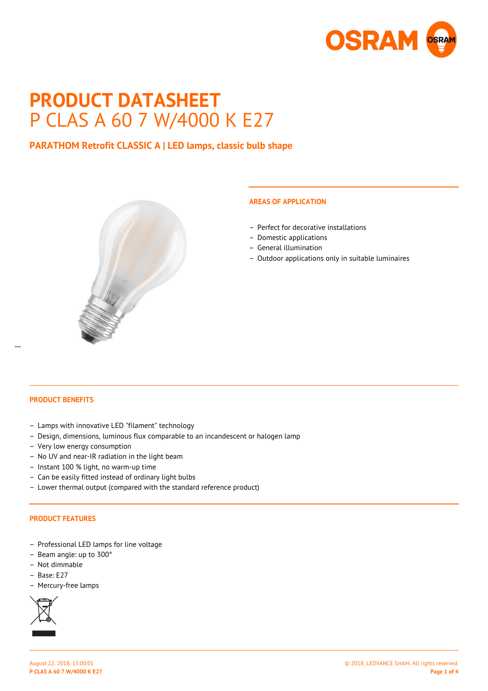

# **PRODUCT DATASHEET** P CLAS A 60 7 W/4000 K E27

# **PARATHOM Retrofit CLASSIC A | LED lamps, classic bulb shape**



## **AREAS OF APPLICATION**

- Perfect for decorative installations
- Domestic applications
- General illumination
- Outdoor applications only in suitable luminaires

 $\overline{a}$ 

- Lamps with innovative LED "filament" technology
- Design, dimensions, luminous flux comparable to an incandescent or halogen lamp
- Very low energy consumption
- No UV and near-IR radiation in the light beam
- Instant 100 % light, no warm-up time
- Can be easily fitted instead of ordinary light bulbs
- Lower thermal output (compared with the standard reference product)

#### **PRODUCT FEATURES**

- Professional LED lamps for line voltage
- Beam angle: up to 300°
- Not dimmable
- Base: E27
- Mercury-free lamps

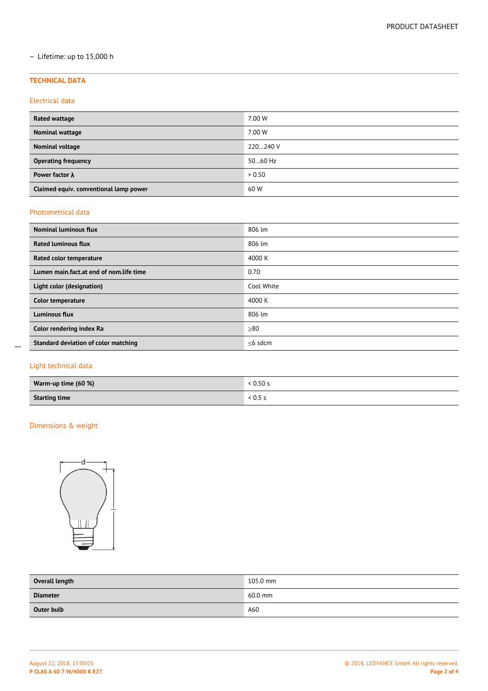## – Lifetime: up to 15,000 h

#### **TECHNICAL DATA**

## Electrical data

| Rated wattage                          | 7.00 W   |
|----------------------------------------|----------|
| Nominal wattage                        | 7.00 W   |
| Nominal voltage                        | 220240 V |
| <b>Operating frequency</b>             | 5060 Hz  |
| Power factor $\lambda$                 | > 0.50   |
| Claimed equiv. conventional lamp power | 60 W     |

## Photometrical data

| <b>Nominal luminous flux</b>            | 806 lm        |
|-----------------------------------------|---------------|
| <b>Rated luminous flux</b>              | 806 lm        |
| Rated color temperature                 | 4000 K        |
| Lumen main.fact.at end of nom.life time | 0.70          |
| Light color (designation)               | Cool White    |
| <b>Color temperature</b>                | 4000 K        |
| <b>Luminous flux</b>                    | 806 lm        |
| Color rendering index Ra                | $\geq 80$     |
| Standard deviation of color matching    | $\leq$ 6 sdcm |

## Light technical data

 $\overline{a}$ 

| Warm-up time (60 %)  | $\cdot$ 0.50 s |
|----------------------|----------------|
| <b>Starting time</b> | . u.s -        |

## Dimensions & weight



| Overall length  | 105.0 mm  |
|-----------------|-----------|
| <b>Diameter</b> | $60.0$ mm |
| Outer bulb      | A60       |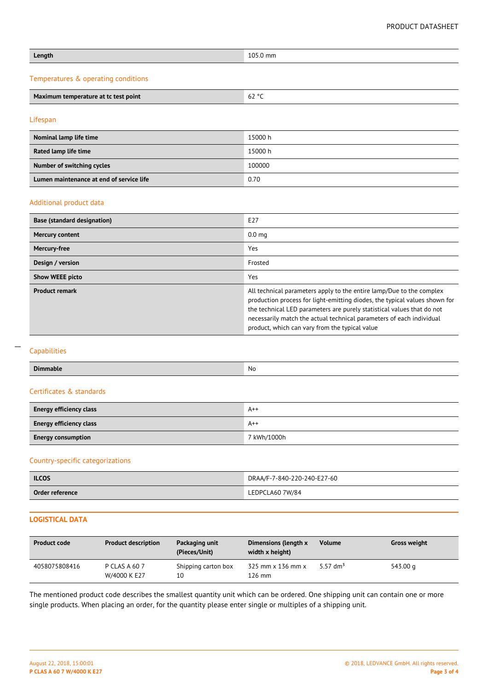## PRODUCT DATASHEET

| Length                              | 105.0 mm |
|-------------------------------------|----------|
| Temperatures & operating conditions |          |

| Maximum te.<br>ximum temperature at tc test point | $\sim$<br>6Z<br>. .<br>$\sim$ |
|---------------------------------------------------|-------------------------------|

## Lifespan

| Nominal lamp life time                   | 15000 h |
|------------------------------------------|---------|
| Rated lamp life time                     | 15000 h |
| Number of switching cycles               | 100000  |
| Lumen maintenance at end of service life | 0.70    |

#### Additional product data

| <b>Base (standard designation)</b> | E27                                                                                                                                                                                                                                                                                                                                                    |
|------------------------------------|--------------------------------------------------------------------------------------------------------------------------------------------------------------------------------------------------------------------------------------------------------------------------------------------------------------------------------------------------------|
| Mercury content                    | 0.0 <sub>mg</sub>                                                                                                                                                                                                                                                                                                                                      |
| Mercury-free                       | Yes                                                                                                                                                                                                                                                                                                                                                    |
| Design / version                   | Frosted                                                                                                                                                                                                                                                                                                                                                |
| <b>Show WEEE picto</b>             | Yes                                                                                                                                                                                                                                                                                                                                                    |
| <b>Product remark</b>              | All technical parameters apply to the entire lamp/Due to the complex<br>production process for light-emitting diodes, the typical values shown for<br>the technical LED parameters are purely statistical values that do not<br>necessarily match the actual technical parameters of each individual<br>product, which can vary from the typical value |

#### Capabilities

 $\overline{a}$ 

| <b>Dimmable</b>                | No          |  |
|--------------------------------|-------------|--|
| Certificates & standards       |             |  |
| <b>Energy efficiency class</b> | $A++$       |  |
| <b>Energy efficiency class</b> | $A++$       |  |
| <b>Energy consumption</b>      | 7 kWh/1000h |  |
|                                |             |  |

## Country-specific categorizations

| <b>ILCOS</b>    | DRAA/F-7-840-220-240-E27-60 |
|-----------------|-----------------------------|
| Order reference | LEDPCLA60 7W/84             |

## **LOGISTICAL DATA**

| <b>Product code</b> | <b>Product description</b>    | Packaging unit<br>(Pieces/Unit) | Dimensions (length x<br>width x height) | Volume      | <b>Gross weight</b> |
|---------------------|-------------------------------|---------------------------------|-----------------------------------------|-------------|---------------------|
| 4058075808416       | P CLAS A 60 7<br>W/4000 K E27 | Shipping carton box<br>10       | 325 mm x 136 mm x<br>126 mm             | 5.57 $dm^3$ | 543.00 g            |

The mentioned product code describes the smallest quantity unit which can be ordered. One shipping unit can contain one or more single products. When placing an order, for the quantity please enter single or multiples of a shipping unit.